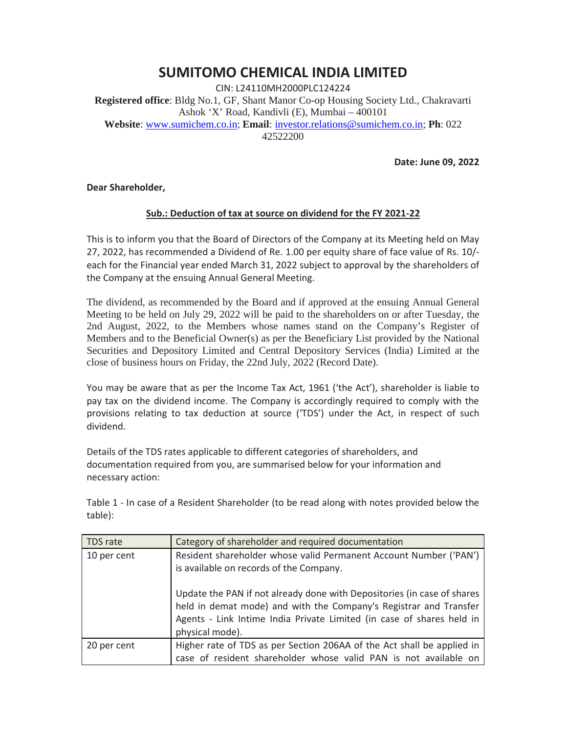## **SUMITOMO CHEMICAL INDIA LIMITED**

CIN: L24110MH2000PLC124224 **Registered office**: Bldg No.1, GF, Shant Manor Co-op Housing Society Ltd., Chakravarti Ashok 'X' Road, Kandivli (E), Mumbai – 400101 **Website**: www.sumichem.co.in; **Email**: investor.relations@sumichem.co.in; **Ph**: 022 42522200

**Date: June 09, 2022**

**Dear Shareholder,**

## **Sub.: Deduction of tax at source on dividend for the FY 2021-22**

This is to inform you that the Board of Directors of the Company at its Meeting held on May 27, 2022, has recommended a Dividend of Re. 1.00 per equity share of face value of Rs. 10/ each for the Financial year ended March 31, 2022 subject to approval by the shareholders of the Company at the ensuing Annual General Meeting.

The dividend, as recommended by the Board and if approved at the ensuing Annual General Meeting to be held on July 29, 2022 will be paid to the shareholders on or after Tuesday, the 2nd August, 2022, to the Members whose names stand on the Company's Register of Members and to the Beneficial Owner(s) as per the Beneficiary List provided by the National Securities and Depository Limited and Central Depository Services (India) Limited at the close of business hours on Friday, the 22nd July, 2022 (Record Date).

You may be aware that as per the Income Tax Act, 1961 ('the Act'), shareholder is liable to pay tax on the dividend income. The Company is accordingly required to comply with the provisions relating to tax deduction at source ('TDS') under the Act, in respect of such dividend.

Details of the TDS rates applicable to different categories of shareholders, and documentation required from you, are summarised below for your information and necessary action:

Table 1 - In case of a Resident Shareholder (to be read along with notes provided below the table):

| TDS rate    | Category of shareholder and required documentation                                                                                                                                                                                       |
|-------------|------------------------------------------------------------------------------------------------------------------------------------------------------------------------------------------------------------------------------------------|
| 10 per cent | Resident shareholder whose valid Permanent Account Number ('PAN')<br>is available on records of the Company.                                                                                                                             |
|             | Update the PAN if not already done with Depositories (in case of shares<br>held in demat mode) and with the Company's Registrar and Transfer<br>Agents - Link Intime India Private Limited (in case of shares held in<br>physical mode). |
| 20 per cent | Higher rate of TDS as per Section 206AA of the Act shall be applied in<br>case of resident shareholder whose valid PAN is not available on                                                                                               |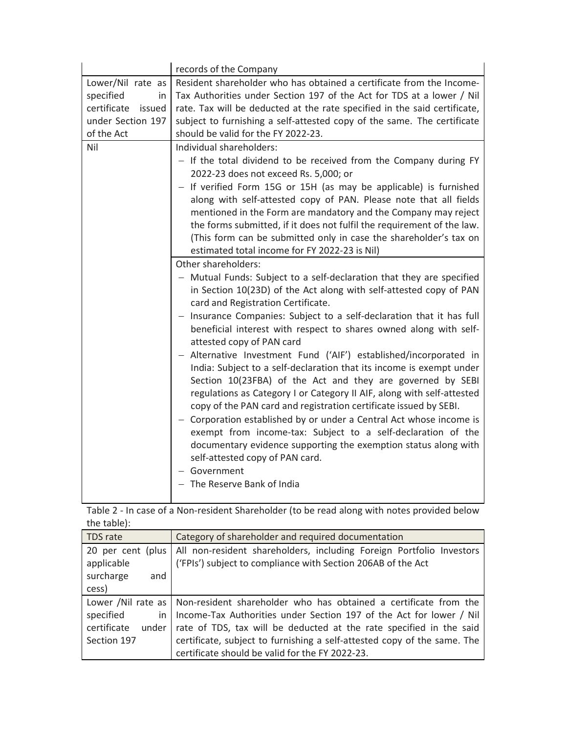|                                                                                               | records of the Company                                                                                                                                                                                                                                                                                                                                                                                                                                                                                                                                                                                                                                                                                                                                                                                                                                                                                                                                                                                             |
|-----------------------------------------------------------------------------------------------|--------------------------------------------------------------------------------------------------------------------------------------------------------------------------------------------------------------------------------------------------------------------------------------------------------------------------------------------------------------------------------------------------------------------------------------------------------------------------------------------------------------------------------------------------------------------------------------------------------------------------------------------------------------------------------------------------------------------------------------------------------------------------------------------------------------------------------------------------------------------------------------------------------------------------------------------------------------------------------------------------------------------|
| Lower/Nil rate as<br>specified<br>in<br>certificate issued<br>under Section 197<br>of the Act | Resident shareholder who has obtained a certificate from the Income-<br>Tax Authorities under Section 197 of the Act for TDS at a lower / Nil<br>rate. Tax will be deducted at the rate specified in the said certificate,<br>subject to furnishing a self-attested copy of the same. The certificate<br>should be valid for the FY 2022-23.                                                                                                                                                                                                                                                                                                                                                                                                                                                                                                                                                                                                                                                                       |
| Nil                                                                                           | Individual shareholders:<br>- If the total dividend to be received from the Company during FY<br>2022-23 does not exceed Rs. 5,000; or<br>- If verified Form 15G or 15H (as may be applicable) is furnished<br>along with self-attested copy of PAN. Please note that all fields<br>mentioned in the Form are mandatory and the Company may reject<br>the forms submitted, if it does not fulfil the requirement of the law.<br>(This form can be submitted only in case the shareholder's tax on<br>estimated total income for FY 2022-23 is Nil)<br>Other shareholders:                                                                                                                                                                                                                                                                                                                                                                                                                                          |
|                                                                                               | - Mutual Funds: Subject to a self-declaration that they are specified<br>in Section 10(23D) of the Act along with self-attested copy of PAN<br>card and Registration Certificate.<br>- Insurance Companies: Subject to a self-declaration that it has full<br>beneficial interest with respect to shares owned along with self-<br>attested copy of PAN card<br>- Alternative Investment Fund ('AIF') established/incorporated in<br>India: Subject to a self-declaration that its income is exempt under<br>Section 10(23FBA) of the Act and they are governed by SEBI<br>regulations as Category I or Category II AIF, along with self-attested<br>copy of the PAN card and registration certificate issued by SEBI.<br>- Corporation established by or under a Central Act whose income is<br>exempt from income-tax: Subject to a self-declaration of the<br>documentary evidence supporting the exemption status along with<br>self-attested copy of PAN card.<br>- Government<br>- The Reserve Bank of India |

Table 2 - In case of a Non-resident Shareholder (to be read along with notes provided below the table):

| TDS rate                        | Category of shareholder and required documentation                                                                                   |
|---------------------------------|--------------------------------------------------------------------------------------------------------------------------------------|
| 20 per cent (plus<br>applicable | All non-resident shareholders, including Foreign Portfolio Investors<br>('FPIs') subject to compliance with Section 206AB of the Act |
| surcharge<br>and                |                                                                                                                                      |
| cess)                           |                                                                                                                                      |
|                                 | Lower /Nil rate as   Non-resident shareholder who has obtained a certificate from the                                                |
| specified<br>in                 | Income-Tax Authorities under Section 197 of the Act for lower / Nil                                                                  |
| certificate<br>under            | rate of TDS, tax will be deducted at the rate specified in the said                                                                  |
| Section 197                     | certificate, subject to furnishing a self-attested copy of the same. The                                                             |
|                                 | certificate should be valid for the FY 2022-23.                                                                                      |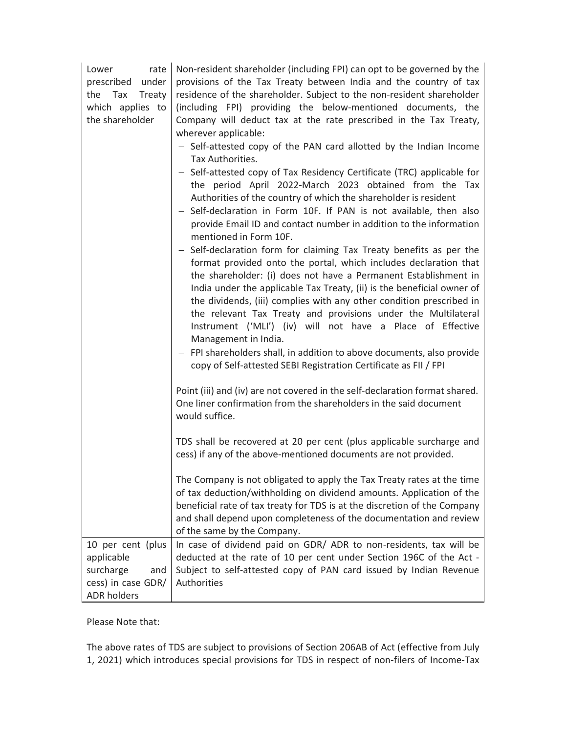| Lower<br>rate<br>prescribed under<br>Tax<br>Treaty<br>the<br>which applies to<br>the shareholder | Non-resident shareholder (including FPI) can opt to be governed by the<br>provisions of the Tax Treaty between India and the country of tax<br>residence of the shareholder. Subject to the non-resident shareholder<br>(including FPI) providing the below-mentioned documents, the<br>Company will deduct tax at the rate prescribed in the Tax Treaty,<br>wherever applicable:<br>- Self-attested copy of the PAN card allotted by the Indian Income<br>Tax Authorities.<br>- Self-attested copy of Tax Residency Certificate (TRC) applicable for<br>the period April 2022-March 2023 obtained from the Tax<br>Authorities of the country of which the shareholder is resident<br>- Self-declaration in Form 10F. If PAN is not available, then also<br>provide Email ID and contact number in addition to the information |
|--------------------------------------------------------------------------------------------------|--------------------------------------------------------------------------------------------------------------------------------------------------------------------------------------------------------------------------------------------------------------------------------------------------------------------------------------------------------------------------------------------------------------------------------------------------------------------------------------------------------------------------------------------------------------------------------------------------------------------------------------------------------------------------------------------------------------------------------------------------------------------------------------------------------------------------------|
|                                                                                                  | mentioned in Form 10F.<br>- Self-declaration form for claiming Tax Treaty benefits as per the<br>format provided onto the portal, which includes declaration that<br>the shareholder: (i) does not have a Permanent Establishment in<br>India under the applicable Tax Treaty, (ii) is the beneficial owner of<br>the dividends, (iii) complies with any other condition prescribed in<br>the relevant Tax Treaty and provisions under the Multilateral<br>Instrument ('MLI') (iv) will not have a Place of Effective<br>Management in India.<br>- FPI shareholders shall, in addition to above documents, also provide<br>copy of Self-attested SEBI Registration Certificate as FII / FPI                                                                                                                                    |
|                                                                                                  | Point (iii) and (iv) are not covered in the self-declaration format shared.<br>One liner confirmation from the shareholders in the said document<br>would suffice.                                                                                                                                                                                                                                                                                                                                                                                                                                                                                                                                                                                                                                                             |
|                                                                                                  | TDS shall be recovered at 20 per cent (plus applicable surcharge and<br>cess) if any of the above-mentioned documents are not provided.                                                                                                                                                                                                                                                                                                                                                                                                                                                                                                                                                                                                                                                                                        |
|                                                                                                  | The Company is not obligated to apply the Tax Treaty rates at the time<br>of tax deduction/withholding on dividend amounts. Application of the<br>beneficial rate of tax treaty for TDS is at the discretion of the Company<br>and shall depend upon completeness of the documentation and review<br>of the same by the Company.                                                                                                                                                                                                                                                                                                                                                                                                                                                                                               |
| 10 per cent (plus<br>applicable<br>surcharge<br>and<br>cess) in case GDR/<br><b>ADR holders</b>  | In case of dividend paid on GDR/ ADR to non-residents, tax will be<br>deducted at the rate of 10 per cent under Section 196C of the Act -<br>Subject to self-attested copy of PAN card issued by Indian Revenue<br>Authorities                                                                                                                                                                                                                                                                                                                                                                                                                                                                                                                                                                                                 |

Please Note that:

The above rates of TDS are subject to provisions of Section 206AB of Act (effective from July 1, 2021) which introduces special provisions for TDS in respect of non-filers of Income-Tax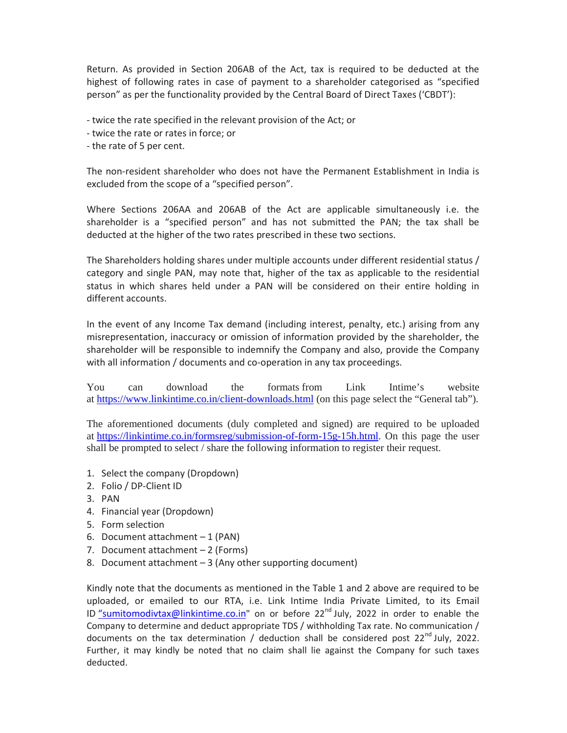Return. As provided in Section 206AB of the Act, tax is required to be deducted at the highest of following rates in case of payment to a shareholder categorised as "specified person" as per the functionality provided by the Central Board of Direct Taxes ('CBDT'):

- twice the rate specified in the relevant provision of the Act; or

- twice the rate or rates in force; or

- the rate of 5 per cent.

The non-resident shareholder who does not have the Permanent Establishment in India is excluded from the scope of a "specified person".

Where Sections 206AA and 206AB of the Act are applicable simultaneously i.e. the shareholder is a "specified person" and has not submitted the PAN; the tax shall be deducted at the higher of the two rates prescribed in these two sections.

The Shareholders holding shares under multiple accounts under different residential status / category and single PAN, may note that, higher of the tax as applicable to the residential status in which shares held under a PAN will be considered on their entire holding in different accounts.

In the event of any Income Tax demand (including interest, penalty, etc.) arising from any misrepresentation, inaccuracy or omission of information provided by the shareholder, the shareholder will be responsible to indemnify the Company and also, provide the Company with all information / documents and co-operation in any tax proceedings.

You can download the formats from Link Intime's website at https://www.linkintime.co.in/client-downloads.html (on this page select the "General tab").

The aforementioned documents (duly completed and signed) are required to be uploaded at https://linkintime.co.in/formsreg/submission-of-form-15g-15h.html. On this page the user shall be prompted to select / share the following information to register their request.

- 1. Select the company (Dropdown)
- 2. Folio / DP-Client ID
- 3. PAN
- 4. Financial year (Dropdown)
- 5. Form selection
- 6. Document attachment 1 (PAN)
- 7. Document attachment 2 (Forms)
- 8. Document attachment 3 (Any other supporting document)

Kindly note that the documents as mentioned in the Table 1 and 2 above are required to be uploaded, or emailed to our RTA, i.e. Link Intime India Private Limited, to its Email ID "sumitomodivtax@linkintime.co.in" on or before 22<sup>nd</sup> July, 2022 in order to enable the Company to determine and deduct appropriate TDS / withholding Tax rate. No communication / documents on the tax determination / deduction shall be considered post  $22^{nd}$  July, 2022. Further, it may kindly be noted that no claim shall lie against the Company for such taxes deducted.